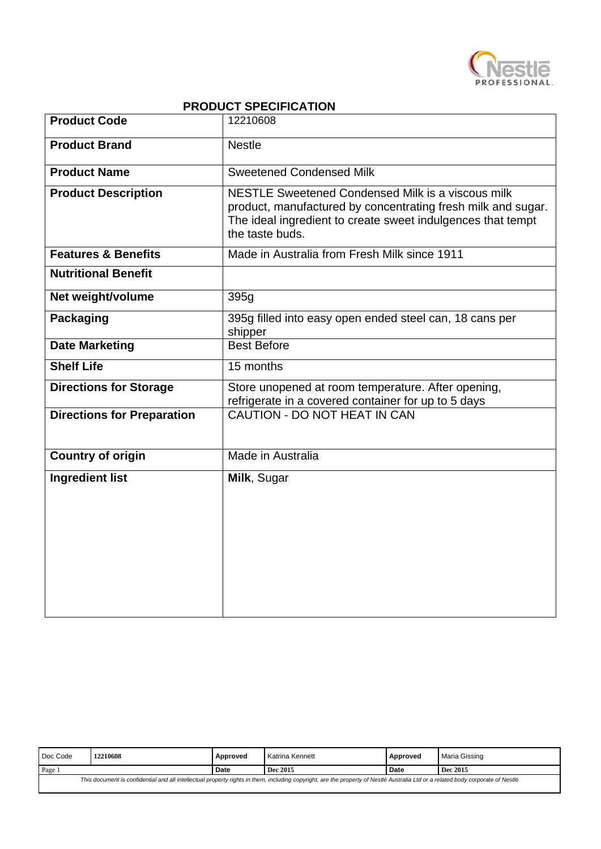

## **PRODUCT SPECIFICATION**

| <b>Product Code</b>               | 12210608                                                                                                                                                                                            |
|-----------------------------------|-----------------------------------------------------------------------------------------------------------------------------------------------------------------------------------------------------|
| <b>Product Brand</b>              | <b>Nestle</b>                                                                                                                                                                                       |
| <b>Product Name</b>               | <b>Sweetened Condensed Milk</b>                                                                                                                                                                     |
| <b>Product Description</b>        | NESTLE Sweetened Condensed Milk is a viscous milk<br>product, manufactured by concentrating fresh milk and sugar.<br>The ideal ingredient to create sweet indulgences that tempt<br>the taste buds. |
| <b>Features &amp; Benefits</b>    | Made in Australia from Fresh Milk since 1911                                                                                                                                                        |
| <b>Nutritional Benefit</b>        |                                                                                                                                                                                                     |
| Net weight/volume                 | 395g                                                                                                                                                                                                |
| <b>Packaging</b>                  | 395g filled into easy open ended steel can, 18 cans per<br>shipper                                                                                                                                  |
| <b>Date Marketing</b>             | <b>Best Before</b>                                                                                                                                                                                  |
| <b>Shelf Life</b>                 | 15 months                                                                                                                                                                                           |
| <b>Directions for Storage</b>     | Store unopened at room temperature. After opening,<br>refrigerate in a covered container for up to 5 days                                                                                           |
| <b>Directions for Preparation</b> | CAUTION - DO NOT HEAT IN CAN                                                                                                                                                                        |
| <b>Country of origin</b>          | Made in Australia                                                                                                                                                                                   |
| <b>Ingredient list</b>            | Milk, Sugar                                                                                                                                                                                         |

| Doc Code                                                                                                                                                                        | 2210608 | Approved    | Katrina Kennett | Approved | Maria Gissing |
|---------------------------------------------------------------------------------------------------------------------------------------------------------------------------------|---------|-------------|-----------------|----------|---------------|
| Page                                                                                                                                                                            |         | <b>Date</b> | Dec 2015        | Date     | Dec 2015      |
| This document is confidential and all intellectual property rights in them, including copyright, are the property of Nestlé Australia Ltd or a related body corporate of Nestlé |         |             |                 |          |               |